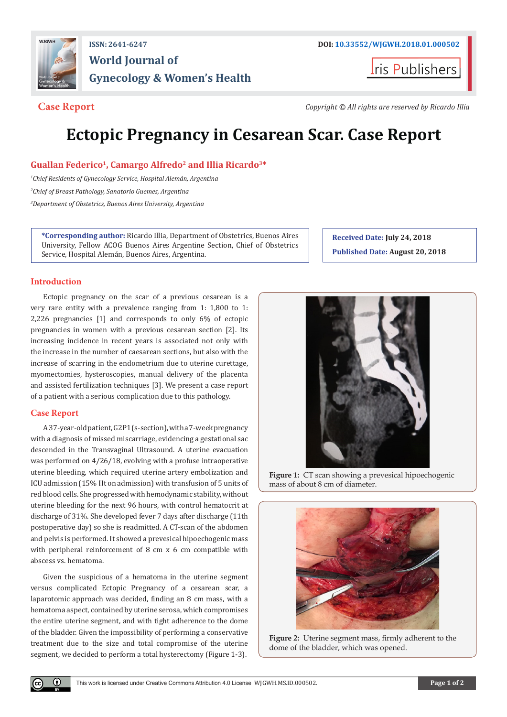

## **ISSN: 2641-6247 DOI: [10.33552/WJGWH.2018.01.000502](http://dx.doi.org/10.33552/WJGWH.2018.01.000502) World Journal of Gynecology & Women's Health**

**Iris Publishers** 

**Case Report** *Copyright © All rights are reserved by Ricardo Illia*

# **Ectopic Pregnancy in Cesarean Scar. Case Report**

### **Guallan Federico1, Camargo Alfredo2 and Illia Ricardo3\***

*1 Chief Residents of Gynecology Service, Hospital Alemán, Argentina 2 Chief of Breast Pathology, Sanatorio Guemes, Argentina 3 Department of Obstetrics, Buenos Aires University, Argentina*

**\*Corresponding author:** Ricardo Illia, Department of Obstetrics, Buenos Aires University, Fellow ACOG Buenos Aires Argentine Section, Chief of Obstetrics Service, Hospital Alemán, Buenos Aires, Argentina.

#### **Introduction**

Ectopic pregnancy on the scar of a previous cesarean is a very rare entity with a prevalence ranging from 1: 1,800 to 1: 2,226 pregnancies [1] and corresponds to only 6% of ectopic pregnancies in women with a previous cesarean section [2]. Its increasing incidence in recent years is associated not only with the increase in the number of caesarean sections, but also with the increase of scarring in the endometrium due to uterine curettage, myomectomies, hysteroscopies, manual delivery of the placenta and assisted fertilization techniques [3]. We present a case report of a patient with a serious complication due to this pathology.

#### **Case Report**

Œ

A 37-year-old patient, G2P1 (s-section), with a 7-week pregnancy with a diagnosis of missed miscarriage, evidencing a gestational sac descended in the Transvaginal Ultrasound. A uterine evacuation was performed on 4/26/18, evolving with a profuse intraoperative uterine bleeding, which required uterine artery embolization and ICU admission (15% Ht on admission) with transfusion of 5 units of red blood cells. She progressed with hemodynamic stability, without uterine bleeding for the next 96 hours, with control hematocrit at discharge of 31%. She developed fever 7 days after discharge (11th postoperative day) so she is readmitted. A CT-scan of the abdomen and pelvis is performed. It showed a prevesical hipoechogenic mass with peripheral reinforcement of 8 cm x 6 cm compatible with abscess vs. hematoma.

Given the suspicious of a hematoma in the uterine segment versus complicated Ectopic Pregnancy of a cesarean scar, a laparotomic approach was decided, finding an 8 cm mass, with a hematoma aspect, contained by uterine serosa, which compromises the entire uterine segment, and with tight adherence to the dome of the bladder. Given the impossibility of performing a conservative treatment due to the size and total compromise of the uterine segment, we decided to perform a total hysterectomy (Figure 1-3).

**Received Date: July 24, 2018 Published Date: August 20, 2018**



**Figure 1:** CT scan showing a prevesical hipoechogenic mass of about 8 cm of diameter.



**Figure 2:** Uterine segment mass, firmly adherent to the dome of the bladder, which was opened.